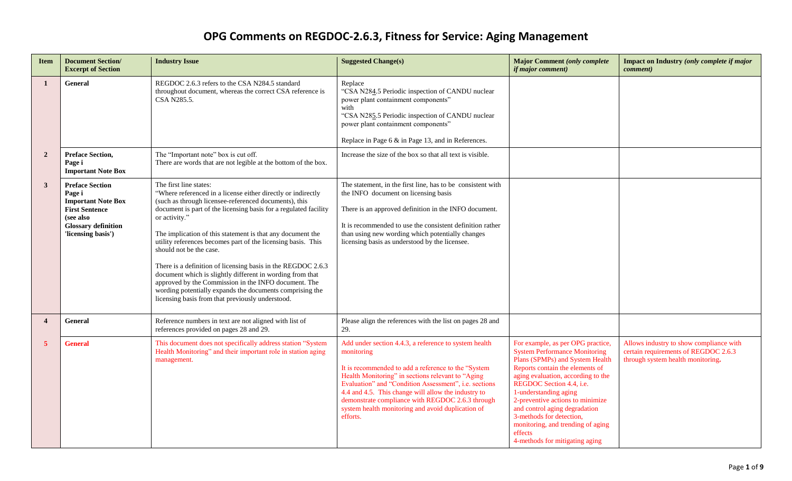| <b>Item</b>      | <b>Document Section/</b><br><b>Excerpt of Section</b>                                                                                                   | <b>Industry Issue</b>                                                                                                                                                                                                                                                                                                                                                                                                                                                                                                                                                                                                                                                                              | <b>Suggested Change(s)</b>                                                                                                                                                                                                                                                                                                                                                                                           | <b>Major Comment (only complete</b><br><i>if major comment)</i>                                                                                                                                                                                                                                                                                                                                                               | Impact on Industry (only complete if major<br><i>comment</i> )                                                       |
|------------------|---------------------------------------------------------------------------------------------------------------------------------------------------------|----------------------------------------------------------------------------------------------------------------------------------------------------------------------------------------------------------------------------------------------------------------------------------------------------------------------------------------------------------------------------------------------------------------------------------------------------------------------------------------------------------------------------------------------------------------------------------------------------------------------------------------------------------------------------------------------------|----------------------------------------------------------------------------------------------------------------------------------------------------------------------------------------------------------------------------------------------------------------------------------------------------------------------------------------------------------------------------------------------------------------------|-------------------------------------------------------------------------------------------------------------------------------------------------------------------------------------------------------------------------------------------------------------------------------------------------------------------------------------------------------------------------------------------------------------------------------|----------------------------------------------------------------------------------------------------------------------|
| $\mathbf{1}$     | <b>General</b>                                                                                                                                          | REGDOC 2.6.3 refers to the CSA N284.5 standard<br>throughout document, whereas the correct CSA reference is<br>CSA N285.5.                                                                                                                                                                                                                                                                                                                                                                                                                                                                                                                                                                         | Replace<br>"CSA N284.5 Periodic inspection of CANDU nuclear<br>power plant containment components"<br>with<br>"CSA N285.5 Periodic inspection of CANDU nuclear<br>power plant containment components"<br>Replace in Page $6 \&$ in Page 13, and in References.                                                                                                                                                       |                                                                                                                                                                                                                                                                                                                                                                                                                               |                                                                                                                      |
| $\overline{2}$   | <b>Preface Section,</b><br>Page i<br><b>Important Note Box</b>                                                                                          | The "Important note" box is cut off.<br>There are words that are not legible at the bottom of the box.                                                                                                                                                                                                                                                                                                                                                                                                                                                                                                                                                                                             | Increase the size of the box so that all text is visible.                                                                                                                                                                                                                                                                                                                                                            |                                                                                                                                                                                                                                                                                                                                                                                                                               |                                                                                                                      |
| 3                | <b>Preface Section</b><br>Page i<br><b>Important Note Box</b><br><b>First Sentence</b><br>(see also<br><b>Glossary definition</b><br>'licensing basis') | The first line states:<br>"Where referenced in a license either directly or indirectly<br>(such as through licensee-referenced documents), this<br>document is part of the licensing basis for a regulated facility<br>or activity."<br>The implication of this statement is that any document the<br>utility references becomes part of the licensing basis. This<br>should not be the case.<br>There is a definition of licensing basis in the REGDOC 2.6.3<br>document which is slightly different in wording from that<br>approved by the Commission in the INFO document. The<br>wording potentially expands the documents comprising the<br>licensing basis from that previously understood. | The statement, in the first line, has to be consistent with<br>the INFO document on licensing basis<br>There is an approved definition in the INFO document.<br>It is recommended to use the consistent definition rather<br>than using new wording which potentially changes<br>licensing basis as understood by the licensee.                                                                                      |                                                                                                                                                                                                                                                                                                                                                                                                                               |                                                                                                                      |
| $\boldsymbol{4}$ | <b>General</b>                                                                                                                                          | Reference numbers in text are not aligned with list of<br>references provided on pages 28 and 29.                                                                                                                                                                                                                                                                                                                                                                                                                                                                                                                                                                                                  | Please align the references with the list on pages 28 and<br>29.                                                                                                                                                                                                                                                                                                                                                     |                                                                                                                                                                                                                                                                                                                                                                                                                               |                                                                                                                      |
| $\overline{5}$   | <b>General</b>                                                                                                                                          | This document does not specifically address station "System<br>Health Monitoring" and their important role in station aging<br>management.                                                                                                                                                                                                                                                                                                                                                                                                                                                                                                                                                         | Add under section 4.4.3, a reference to system health<br>monitoring<br>It is recommended to add a reference to the "System<br>Health Monitoring" in sections relevant to "Aging<br>Evaluation" and "Condition Assessment", i.e. sections<br>4.4 and 4.5. This change will allow the industry to<br>demonstrate compliance with REGDOC 2.6.3 through<br>system health monitoring and avoid duplication of<br>efforts. | For example, as per OPG practice,<br><b>System Performance Monitoring</b><br>Plans (SPMPs) and System Health<br>Reports contain the elements of<br>aging evaluation, according to the<br>REGDOC Section 4.4, i.e.<br>1-understanding aging<br>2-preventive actions to minimize<br>and control aging degradation<br>3-methods for detection,<br>monitoring, and trending of aging<br>effects<br>4-methods for mitigating aging | Allows industry to show compliance with<br>certain requirements of REGDOC 2.6.3<br>through system health monitoring. |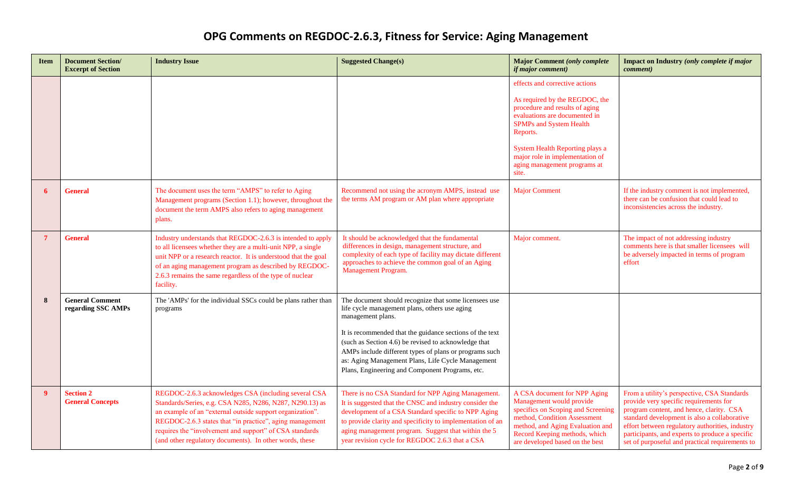| <b>Item</b>      | <b>Document Section/</b><br><b>Excerpt of Section</b> | <b>Industry Issue</b>                                                                                                                                                                                                                                                                                                                                           | <b>Suggested Change(s)</b>                                                                                                                                                                                                                                                                                                                                                                                        | <b>Major Comment (only complete</b><br><i>if major comment)</i>                                                                                                                                                                                                                                  | Impact on Industry (only complete if major<br><i>comment</i> )                                                                                                                                                                                                                                                                             |
|------------------|-------------------------------------------------------|-----------------------------------------------------------------------------------------------------------------------------------------------------------------------------------------------------------------------------------------------------------------------------------------------------------------------------------------------------------------|-------------------------------------------------------------------------------------------------------------------------------------------------------------------------------------------------------------------------------------------------------------------------------------------------------------------------------------------------------------------------------------------------------------------|--------------------------------------------------------------------------------------------------------------------------------------------------------------------------------------------------------------------------------------------------------------------------------------------------|--------------------------------------------------------------------------------------------------------------------------------------------------------------------------------------------------------------------------------------------------------------------------------------------------------------------------------------------|
|                  |                                                       |                                                                                                                                                                                                                                                                                                                                                                 |                                                                                                                                                                                                                                                                                                                                                                                                                   | effects and corrective actions<br>As required by the REGDOC, the<br>procedure and results of aging<br>evaluations are documented in<br><b>SPMPs and System Health</b><br>Reports.<br>System Health Reporting plays a<br>major role in implementation of<br>aging management programs at<br>site. |                                                                                                                                                                                                                                                                                                                                            |
| 6                | <b>General</b>                                        | The document uses the term "AMPS" to refer to Aging<br>Management programs (Section 1.1); however, throughout the<br>document the term AMPS also refers to aging management<br>plans.                                                                                                                                                                           | Recommend not using the acronym AMPS, instead use<br>the terms AM program or AM plan where appropriate                                                                                                                                                                                                                                                                                                            | <b>Major Comment</b>                                                                                                                                                                                                                                                                             | If the industry comment is not implemented,<br>there can be confusion that could lead to<br>inconsistencies across the industry.                                                                                                                                                                                                           |
| 7                | <b>General</b>                                        | Industry understands that REGDOC-2.6.3 is intended to apply<br>to all licensees whether they are a multi-unit NPP, a single<br>unit NPP or a research reactor. It is understood that the goal<br>of an aging management program as described by REGDOC-<br>2.6.3 remains the same regardless of the type of nuclear<br>facility.                                | It should be acknowledged that the fundamental<br>differences in design, management structure, and<br>complexity of each type of facility may dictate different<br>approaches to achieve the common goal of an Aging<br>Management Program.                                                                                                                                                                       | Major comment.                                                                                                                                                                                                                                                                                   | The impact of not addressing industry<br>comments here is that smaller licensees will<br>be adversely impacted in terms of program<br>effort                                                                                                                                                                                               |
| 8                | <b>General Comment</b><br>regarding SSC AMPs          | The 'AMPs' for the individual SSCs could be plans rather than<br>programs                                                                                                                                                                                                                                                                                       | The document should recognize that some licensees use<br>life cycle management plans, others use aging<br>management plans.<br>It is recommended that the guidance sections of the text<br>(such as Section 4.6) be revised to acknowledge that<br>AMPs include different types of plans or programs such<br>as: Aging Management Plans, Life Cycle Management<br>Plans, Engineering and Component Programs, etc. |                                                                                                                                                                                                                                                                                                  |                                                                                                                                                                                                                                                                                                                                            |
| $\boldsymbol{9}$ | <b>Section 2</b><br><b>General Concepts</b>           | REGDOC-2.6.3 acknowledges CSA (including several CSA<br>Standards/Series, e.g. CSA N285, N286, N287, N290.13) as<br>an example of an "external outside support organization".<br>REGDOC-2.6.3 states that "in practice", aging management<br>requires the "involvement and support" of CSA standards<br>(and other regulatory documents). In other words, these | There is no CSA Standard for NPP Aging Management<br>It is suggested that the CNSC and industry consider the<br>development of a CSA Standard specific to NPP Aging<br>to provide clarity and specificity to implementation of an<br>aging management program. Suggest that within the 5<br>year revision cycle for REGDOC 2.6.3 that a CSA                                                                       | A CSA document for NPP Aging<br>Management would provide<br>specifics on Scoping and Screening<br>method, Condition Assessment<br>method, and Aging Evaluation and<br>Record Keeping methods, which<br>are developed based on the best                                                           | From a utility's perspective, CSA Standards<br>provide very specific requirements for<br>program content, and hence, clarity. CSA<br>standard development is also a collaborative<br>effort between regulatory authorities, industry<br>participants, and experts to produce a specific<br>set of purposeful and practical requirements to |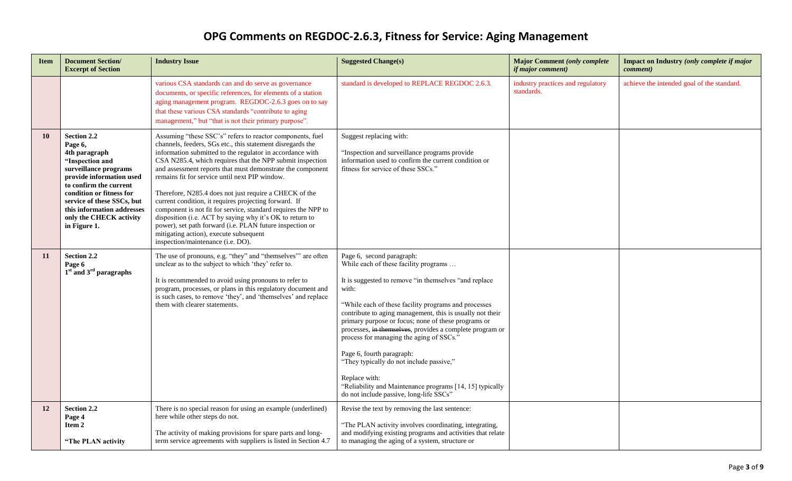| <b>Item</b> | <b>Document Section/</b><br><b>Excerpt of Section</b>                                                                                                                                                                                                                        | <b>Industry Issue</b>                                                                                                                                                                                                                                                                                                                                                                                                                                                                                                                                                                                                                                                                                                                                         | <b>Suggested Change(s)</b>                                                                                                                                                                                                                                                                                                                                                                                                                                                                                                                                                                                                 | <b>Major Comment (only complete</b><br><i>if major comment)</i> | Impact on Industry (only complete if major<br><i>comment</i> ) |
|-------------|------------------------------------------------------------------------------------------------------------------------------------------------------------------------------------------------------------------------------------------------------------------------------|---------------------------------------------------------------------------------------------------------------------------------------------------------------------------------------------------------------------------------------------------------------------------------------------------------------------------------------------------------------------------------------------------------------------------------------------------------------------------------------------------------------------------------------------------------------------------------------------------------------------------------------------------------------------------------------------------------------------------------------------------------------|----------------------------------------------------------------------------------------------------------------------------------------------------------------------------------------------------------------------------------------------------------------------------------------------------------------------------------------------------------------------------------------------------------------------------------------------------------------------------------------------------------------------------------------------------------------------------------------------------------------------------|-----------------------------------------------------------------|----------------------------------------------------------------|
|             |                                                                                                                                                                                                                                                                              | various CSA standards can and do serve as governance<br>documents, or specific references, for elements of a station<br>aging management program. REGDOC-2.6.3 goes on to say<br>that these various CSA standards "contribute to aging<br>management," but "that is not their primary purpose".                                                                                                                                                                                                                                                                                                                                                                                                                                                               | standard is developed to REPLACE REGDOC 2.6.3.                                                                                                                                                                                                                                                                                                                                                                                                                                                                                                                                                                             | industry practices and regulatory<br>standards.                 | achieve the intended goal of the standard.                     |
| 10          | Section 2.2<br>Page 6,<br>4th paragraph<br>"Inspection and<br>surveillance programs<br>provide information used<br>to confirm the current<br>condition or fitness for<br>service of these SSCs, but<br>this information addresses<br>only the CHECK activity<br>in Figure 1. | Assuming "these SSC's" refers to reactor components, fuel<br>channels, feeders, SGs etc., this statement disregards the<br>information submitted to the regulator in accordance with<br>CSA N285.4, which requires that the NPP submit inspection<br>and assessment reports that must demonstrate the component<br>remains fit for service until next PIP window.<br>Therefore, N285.4 does not just require a CHECK of the<br>current condition, it requires projecting forward. If<br>component is not fit for service, standard requires the NPP to<br>disposition (i.e. ACT by saying why it's OK to return to<br>power), set path forward (i.e. PLAN future inspection or<br>mitigating action), execute subsequent<br>inspection/maintenance (i.e. DO). | Suggest replacing with:<br>"Inspection and surveillance programs provide<br>information used to confirm the current condition or<br>fitness for service of these SSCs."                                                                                                                                                                                                                                                                                                                                                                                                                                                    |                                                                 |                                                                |
| 11          | Section 2.2<br>Page 6<br>$1st$ and $3rd$ paragraphs                                                                                                                                                                                                                          | The use of pronouns, e.g. "they" and "themselves" are often<br>unclear as to the subject to which 'they' refer to.<br>It is recommended to avoid using pronouns to refer to<br>program, processes, or plans in this regulatory document and<br>is such cases, to remove 'they', and 'themselves' and replace<br>them with clearer statements.                                                                                                                                                                                                                                                                                                                                                                                                                 | Page 6, second paragraph:<br>While each of these facility programs<br>It is suggested to remove "in themselves "and replace"<br>with:<br>"While each of these facility programs and processes<br>contribute to aging management, this is usually not their<br>primary purpose or focus; none of these programs or<br>processes, in themselves, provides a complete program or<br>process for managing the aging of SSCs.'<br>Page 6, fourth paragraph:<br>"They typically do not include passive,"<br>Replace with:<br>"Reliability and Maintenance programs [14, 15] typically<br>do not include passive, long-life SSCs" |                                                                 |                                                                |
| 12          | Section 2.2<br>Page 4<br>Item 2<br>"The PLAN activity                                                                                                                                                                                                                        | There is no special reason for using an example (underlined)<br>here while other steps do not.<br>The activity of making provisions for spare parts and long-<br>term service agreements with suppliers is listed in Section 4.7                                                                                                                                                                                                                                                                                                                                                                                                                                                                                                                              | Revise the text by removing the last sentence:<br>"The PLAN activity involves coordinating, integrating,<br>and modifying existing programs and activities that relate<br>to managing the aging of a system, structure or                                                                                                                                                                                                                                                                                                                                                                                                  |                                                                 |                                                                |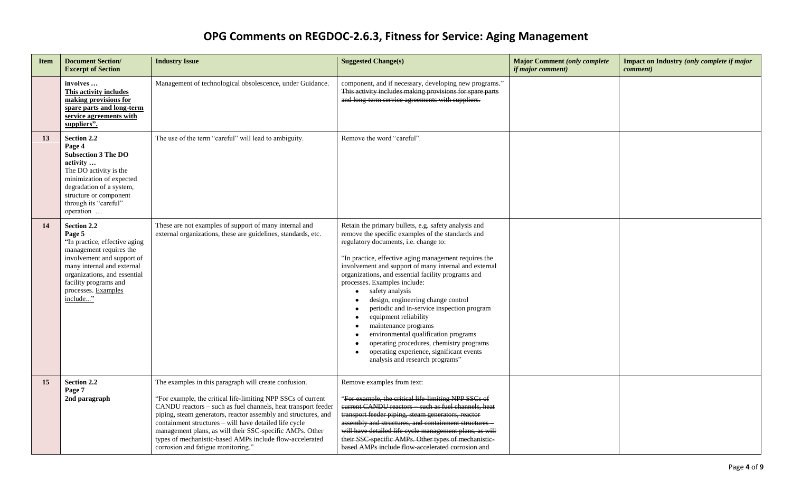| <b>Item</b> | <b>Document Section/</b><br><b>Excerpt of Section</b>                                                                                                                                                                                     | <b>Industry Issue</b>                                                                                                                                                                                                                                                                                                                                                                                                                                                            | <b>Suggested Change(s)</b>                                                                                                                                                                                                                                                                                                                                                                                                                                                                                                                                                                                                                                                                         | <b>Major Comment (only complete</b><br><i>if major comment)</i> | <b>Impact on Industry (only complete if major</b><br><i>comment</i> ) |
|-------------|-------------------------------------------------------------------------------------------------------------------------------------------------------------------------------------------------------------------------------------------|----------------------------------------------------------------------------------------------------------------------------------------------------------------------------------------------------------------------------------------------------------------------------------------------------------------------------------------------------------------------------------------------------------------------------------------------------------------------------------|----------------------------------------------------------------------------------------------------------------------------------------------------------------------------------------------------------------------------------------------------------------------------------------------------------------------------------------------------------------------------------------------------------------------------------------------------------------------------------------------------------------------------------------------------------------------------------------------------------------------------------------------------------------------------------------------------|-----------------------------------------------------------------|-----------------------------------------------------------------------|
|             | involves<br>This activity includes<br>making provisions for<br>spare parts and long-term<br>service agreements with<br>suppliers".                                                                                                        | Management of technological obsolescence, under Guidance.                                                                                                                                                                                                                                                                                                                                                                                                                        | component, and if necessary, developing new programs."<br>This activity includes making provisions for spare parts<br>and long term service agreements with suppliers.                                                                                                                                                                                                                                                                                                                                                                                                                                                                                                                             |                                                                 |                                                                       |
| 13          | Section 2.2<br>Page 4<br><b>Subsection 3 The DO</b><br>activity<br>The DO activity is the<br>minimization of expected<br>degradation of a system,<br>structure or component<br>through its "careful"<br>operation                         | The use of the term "careful" will lead to ambiguity.                                                                                                                                                                                                                                                                                                                                                                                                                            | Remove the word "careful".                                                                                                                                                                                                                                                                                                                                                                                                                                                                                                                                                                                                                                                                         |                                                                 |                                                                       |
| 14          | Section 2.2<br>Page 5<br>"In practice, effective aging<br>management requires the<br>involvement and support of<br>many internal and external<br>organizations, and essential<br>facility programs and<br>processes. Examples<br>include" | These are not examples of support of many internal and<br>external organizations, these are guidelines, standards, etc.                                                                                                                                                                                                                                                                                                                                                          | Retain the primary bullets, e.g. safety analysis and<br>remove the specific examples of the standards and<br>regulatory documents, i.e. change to:<br>"In practice, effective aging management requires the<br>involvement and support of many internal and external<br>organizations, and essential facility programs and<br>processes. Examples include:<br>safety analysis<br>design, engineering change control<br>periodic and in-service inspection program<br>equipment reliability<br>$\bullet$<br>maintenance programs<br>environmental qualification programs<br>operating procedures, chemistry programs<br>operating experience, significant events<br>analysis and research programs" |                                                                 |                                                                       |
| 15          | <b>Section 2.2</b><br>Page 7<br>2nd paragraph                                                                                                                                                                                             | The examples in this paragraph will create confusion.<br>"For example, the critical life-limiting NPP SSCs of current<br>CANDU reactors - such as fuel channels, heat transport feeder<br>piping, steam generators, reactor assembly and structures, and<br>containment structures - will have detailed life cycle<br>management plans, as will their SSC-specific AMPs. Other<br>types of mechanistic-based AMPs include flow-accelerated<br>corrosion and fatigue monitoring." | Remove examples from text:<br>'For example, the critical life-limiting NPP SSCs of<br>eurrent CANDU reactors such as fuel channels, heat<br>transport feeder piping, steam generators, reactor<br>assembly and structures, and containment structures<br>will have detailed life cycle management plans, as will<br>their SSC-specific AMPs. Other types of mechanistic-<br>based AMPs include flow-accelerated corrosion and                                                                                                                                                                                                                                                                      |                                                                 |                                                                       |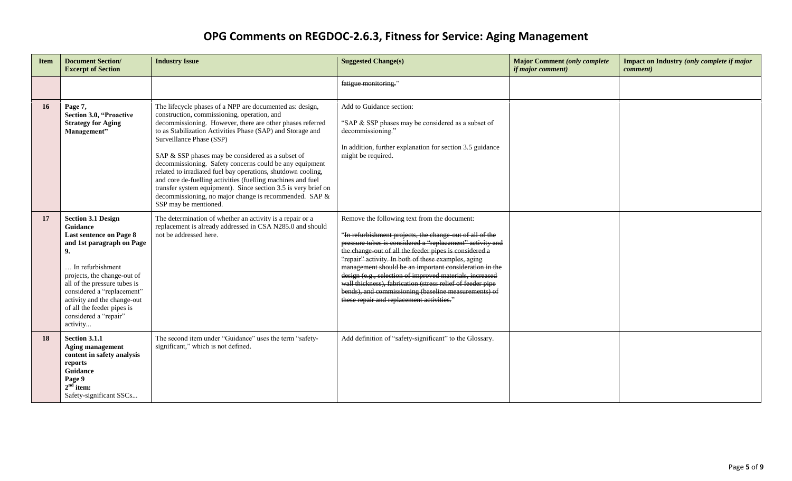| <b>Item</b> | <b>Document Section/</b><br><b>Excerpt of Section</b>                                                                                                                                                                                                                                                                         | <b>Industry Issue</b>                                                                                                                                                                                                                                                                                                                                                                                                                                                                                                                                                                                                                                              | <b>Suggested Change(s)</b>                                                                                                                                                                                                                                                                                                                                                                                                                                                                                                                                                      | <b>Major Comment (only complete</b><br><i>if major comment)</i> | Impact on Industry (only complete if major<br><i>comment</i> ) |
|-------------|-------------------------------------------------------------------------------------------------------------------------------------------------------------------------------------------------------------------------------------------------------------------------------------------------------------------------------|--------------------------------------------------------------------------------------------------------------------------------------------------------------------------------------------------------------------------------------------------------------------------------------------------------------------------------------------------------------------------------------------------------------------------------------------------------------------------------------------------------------------------------------------------------------------------------------------------------------------------------------------------------------------|---------------------------------------------------------------------------------------------------------------------------------------------------------------------------------------------------------------------------------------------------------------------------------------------------------------------------------------------------------------------------------------------------------------------------------------------------------------------------------------------------------------------------------------------------------------------------------|-----------------------------------------------------------------|----------------------------------------------------------------|
|             |                                                                                                                                                                                                                                                                                                                               |                                                                                                                                                                                                                                                                                                                                                                                                                                                                                                                                                                                                                                                                    | fatigue monitoring."                                                                                                                                                                                                                                                                                                                                                                                                                                                                                                                                                            |                                                                 |                                                                |
| 16          | Page 7,<br><b>Section 3.0, "Proactive</b><br><b>Strategy for Aging</b><br>Management"                                                                                                                                                                                                                                         | The lifecycle phases of a NPP are documented as: design,<br>construction, commissioning, operation, and<br>decommissioning. However, there are other phases referred<br>to as Stabilization Activities Phase (SAP) and Storage and<br>Surveillance Phase (SSP)<br>SAP & SSP phases may be considered as a subset of<br>decommissioning. Safety concerns could be any equipment<br>related to irradiated fuel bay operations, shutdown cooling,<br>and core de-fuelling activities (fuelling machines and fuel<br>transfer system equipment). Since section 3.5 is very brief on<br>decommissioning, no major change is recommended. SAP &<br>SSP may be mentioned. | Add to Guidance section:<br>"SAP & SSP phases may be considered as a subset of<br>decommissioning."<br>In addition, further explanation for section 3.5 guidance<br>might be required.                                                                                                                                                                                                                                                                                                                                                                                          |                                                                 |                                                                |
| 17          | <b>Section 3.1 Design</b><br>Guidance<br><b>Last sentence on Page 8</b><br>and 1st paragraph on Page<br>9.<br>In refurbishment<br>projects, the change-out of<br>all of the pressure tubes is<br>considered a "replacement"<br>activity and the change-out<br>of all the feeder pipes is<br>considered a "repair"<br>activity | The determination of whether an activity is a repair or a<br>replacement is already addressed in CSA N285.0 and should<br>not be addressed here.                                                                                                                                                                                                                                                                                                                                                                                                                                                                                                                   | Remove the following text from the document:<br>"In refurbishment projects, the change-out of all of the<br>pressure tubes is considered a "replacement" activity and<br>the change out of all the feeder pipes is considered a<br>"repair" activity. In both of these examples, aging<br>management should be an important consideration in the<br>design (e.g., selection of improved materials, increased<br>wall thickness), fabrication (stress relief of feeder pipe<br>bends), and commissioning (baseline measurements) of<br>these repair and replacement activities." |                                                                 |                                                                |
| 18          | <b>Section 3.1.1</b><br><b>Aging management</b><br>content in safety analysis<br>reports<br>Guidance<br>Page 9<br>$2nd$ item:<br>Safety-significant SSCs                                                                                                                                                                      | The second item under "Guidance" uses the term "safety-<br>significant," which is not defined.                                                                                                                                                                                                                                                                                                                                                                                                                                                                                                                                                                     | Add definition of "safety-significant" to the Glossary.                                                                                                                                                                                                                                                                                                                                                                                                                                                                                                                         |                                                                 |                                                                |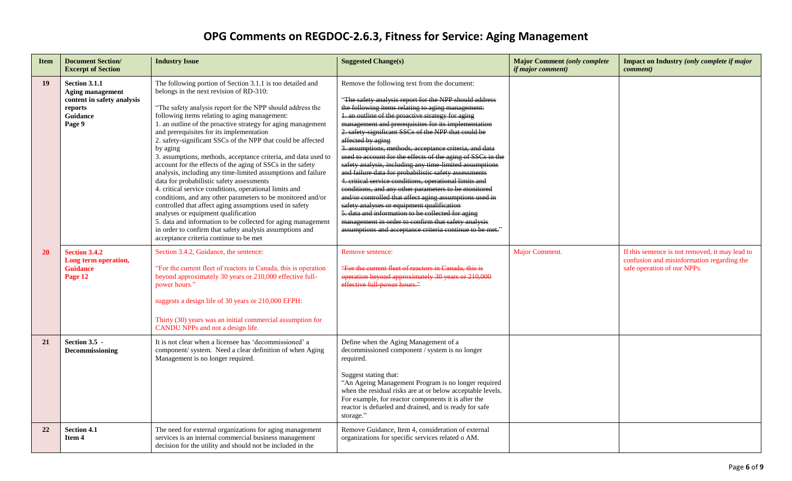| <b>Item</b> | <b>Document Section/</b><br><b>Excerpt of Section</b>                                                   | <b>Industry Issue</b>                                                                                                                                                                                                                                                                                                                                                                                                                                                                                                                                                                                                                                                                                                                                                                                                                                                                                                                                                                                                                                      | <b>Suggested Change(s)</b>                                                                                                                                                                                                                                                                                                                                                                                                                                                                                                                                                                                                                                                                                                                                                                                                                                                                                                                                                                          | <b>Major Comment (only complete</b><br><i>if major comment)</i> | Impact on Industry (only complete if major<br><i>comment</i> )                                                               |
|-------------|---------------------------------------------------------------------------------------------------------|------------------------------------------------------------------------------------------------------------------------------------------------------------------------------------------------------------------------------------------------------------------------------------------------------------------------------------------------------------------------------------------------------------------------------------------------------------------------------------------------------------------------------------------------------------------------------------------------------------------------------------------------------------------------------------------------------------------------------------------------------------------------------------------------------------------------------------------------------------------------------------------------------------------------------------------------------------------------------------------------------------------------------------------------------------|-----------------------------------------------------------------------------------------------------------------------------------------------------------------------------------------------------------------------------------------------------------------------------------------------------------------------------------------------------------------------------------------------------------------------------------------------------------------------------------------------------------------------------------------------------------------------------------------------------------------------------------------------------------------------------------------------------------------------------------------------------------------------------------------------------------------------------------------------------------------------------------------------------------------------------------------------------------------------------------------------------|-----------------------------------------------------------------|------------------------------------------------------------------------------------------------------------------------------|
| 19          | <b>Section 3.1.1</b><br>Aging management<br>content in safety analysis<br>reports<br>Guidance<br>Page 9 | The following portion of Section 3.1.1 is too detailed and<br>belongs in the next revision of RD-310:<br>"The safety analysis report for the NPP should address the<br>following items relating to aging management:<br>1. an outline of the proactive strategy for aging management<br>and prerequisites for its implementation<br>2. safety-significant SSCs of the NPP that could be affected<br>by aging<br>3. assumptions, methods, acceptance criteria, and data used to<br>account for the effects of the aging of SSCs in the safety<br>analysis, including any time-limited assumptions and failure<br>data for probabilistic safety assessments<br>4. critical service conditions, operational limits and<br>conditions, and any other parameters to be monitored and/or<br>controlled that affect aging assumptions used in safety<br>analyses or equipment qualification<br>5. data and information to be collected for aging management<br>in order to confirm that safety analysis assumptions and<br>acceptance criteria continue to be met | Remove the following text from the document:<br>"The safety analysis report for the NPP should address<br>the following items relating to aging management:<br>1. an outline of the proactive strategy for aging<br>management and prerequisites for its implementation<br>2. safety significant SSCs of the NPP that could be<br>affected by aging<br>3. assumptions, methods, acceptance criteria, and data<br>used to account for the effects of the aging of SSCs in the<br>safety analysis, including any time-limited assumptions<br>and failure data for probabilistic safety assessments<br>4. critical service conditions, operational limits and<br>conditions, and any other parameters to be monitored<br>and/or controlled that affect aging assumptions used in<br>safety analyses or equipment qualification<br>5. data and information to be collected for aging<br>management in order to confirm that safety analysis<br>assumptions and acceptance criteria continue to be met." |                                                                 |                                                                                                                              |
| 20          | <b>Section 3.4.2</b><br>Long term operation,<br><b>Guidance</b><br>Page 12                              | Section 3.4.2, Guidance, the sentence:<br>"For the current fleet of reactors in Canada, this is operation<br>beyond approximately 30 years or 210,000 effective full-<br>power hours."<br>suggests a design life of 30 years or 210,000 EFPH:<br>Thirty (30) years was an initial commercial assumption for<br>CANDU NPPs and not a design life.                                                                                                                                                                                                                                                                                                                                                                                                                                                                                                                                                                                                                                                                                                           | Remove sentence:<br>"For the current fleet of reactors in Canada, this is<br>operation beyond approximately 30 years or 210,000<br>effective full power hours."                                                                                                                                                                                                                                                                                                                                                                                                                                                                                                                                                                                                                                                                                                                                                                                                                                     | Major Comment.                                                  | If this sentence is not removed, it may lead to<br>confusion and misinformation regarding the<br>safe operation of our NPPs. |
| 21          | Section 3.5 -<br><b>Decommissioning</b>                                                                 | It is not clear when a licensee has 'decommissioned' a<br>component/ system. Need a clear definition of when Aging<br>Management is no longer required.                                                                                                                                                                                                                                                                                                                                                                                                                                                                                                                                                                                                                                                                                                                                                                                                                                                                                                    | Define when the Aging Management of a<br>decommissioned component / system is no longer<br>required.<br>Suggest stating that:<br>"An Ageing Management Program is no longer required<br>when the residual risks are at or below acceptable levels.<br>For example, for reactor components it is after the<br>reactor is defueled and drained, and is ready for safe<br>storage."                                                                                                                                                                                                                                                                                                                                                                                                                                                                                                                                                                                                                    |                                                                 |                                                                                                                              |
| 22          | <b>Section 4.1</b><br>Item 4                                                                            | The need for external organizations for aging management<br>services is an internal commercial business management<br>decision for the utility and should not be included in the                                                                                                                                                                                                                                                                                                                                                                                                                                                                                                                                                                                                                                                                                                                                                                                                                                                                           | Remove Guidance, Item 4, consideration of external<br>organizations for specific services related o AM.                                                                                                                                                                                                                                                                                                                                                                                                                                                                                                                                                                                                                                                                                                                                                                                                                                                                                             |                                                                 |                                                                                                                              |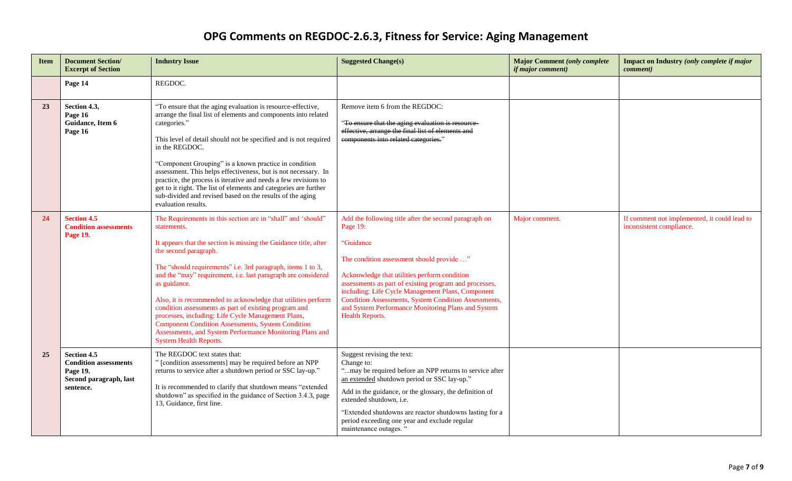| <b>Item</b> | <b>Document Section/</b><br><b>Excerpt of Section</b>                                                 | <b>Industry Issue</b>                                                                                                                                                                                                                                                                                                                                                                                                                                                                                                                                                                                                                                      | <b>Suggested Change(s)</b>                                                                                                                                                                                                                                                                                                                                                                                                                | <b>Major Comment (only complete</b><br><i>if major comment)</i> | Impact on Industry (only complete if major<br><i>comment</i> )           |
|-------------|-------------------------------------------------------------------------------------------------------|------------------------------------------------------------------------------------------------------------------------------------------------------------------------------------------------------------------------------------------------------------------------------------------------------------------------------------------------------------------------------------------------------------------------------------------------------------------------------------------------------------------------------------------------------------------------------------------------------------------------------------------------------------|-------------------------------------------------------------------------------------------------------------------------------------------------------------------------------------------------------------------------------------------------------------------------------------------------------------------------------------------------------------------------------------------------------------------------------------------|-----------------------------------------------------------------|--------------------------------------------------------------------------|
|             | Page 14                                                                                               | REGDOC.                                                                                                                                                                                                                                                                                                                                                                                                                                                                                                                                                                                                                                                    |                                                                                                                                                                                                                                                                                                                                                                                                                                           |                                                                 |                                                                          |
| 23          | Section 4.3,<br>Page 16<br>Guidance, Item 6<br>Page 16                                                | "To ensure that the aging evaluation is resource-effective,<br>arrange the final list of elements and components into related<br>categories."<br>This level of detail should not be specified and is not required<br>in the REGDOC.<br>"Component Grouping" is a known practice in condition<br>assessment. This helps effectiveness, but is not necessary. In<br>practice, the process is iterative and needs a few revisions to<br>get to it right. The list of elements and categories are further<br>sub-divided and revised based on the results of the aging<br>evaluation results.                                                                  | Remove item 6 from the REGDOC:<br>"To ensure that the aging evaluation is resource-<br>effective, arrange the final list of elements and<br>components into related categories."                                                                                                                                                                                                                                                          |                                                                 |                                                                          |
| 24          | <b>Section 4.5</b><br><b>Condition assessments</b><br>Page 19.                                        | The Requirements in this section are in "shall" and 'should"<br>statements.<br>It appears that the section is missing the Guidance title, after<br>the second paragraph.<br>The "should requirements" i.e. 3rd paragraph, items 1 to 3,<br>and the "may" requirement, i.e. last paragraph are considered<br>as guidance.<br>Also, it is recommended to acknowledge that utilities perform<br>condition assessments as part of existing program and<br>processes, including: Life Cycle Management Plans,<br>Component Condition Assessments, System Condition<br>Assessments, and System Performance Monitoring Plans and<br><b>System Health Reports.</b> | Add the following title after the second paragraph on<br>Page 19:<br>"Guidance<br>The condition assessment should provide "<br>Acknowledge that utilities perform condition<br>assessments as part of existing program and processes,<br>including: Life Cycle Management Plans, Component<br><b>Condition Assessments, System Condition Assessments,</b><br>and System Performance Monitoring Plans and System<br><b>Health Reports.</b> | Major comment.                                                  | If comment not implemented, it could lead to<br>inconsistent compliance. |
| 25          | <b>Section 4.5</b><br><b>Condition assessments</b><br>Page 19.<br>Second paragraph, last<br>sentence. | The REGDOC text states that:<br>" [condition assessments] may be required before an NPP<br>returns to service after a shutdown period or SSC lay-up."<br>It is recommended to clarify that shutdown means "extended<br>shutdown" as specified in the guidance of Section 3.4.3, page<br>13, Guidance, first line.                                                                                                                                                                                                                                                                                                                                          | Suggest revising the text:<br>Change to:<br>"may be required before an NPP returns to service after<br>an extended shutdown period or SSC lay-up."<br>Add in the guidance, or the glossary, the definition of<br>extended shutdown, i.e.<br>"Extended shutdowns are reactor shutdowns lasting for a<br>period exceeding one year and exclude regular<br>maintenance outages. "                                                            |                                                                 |                                                                          |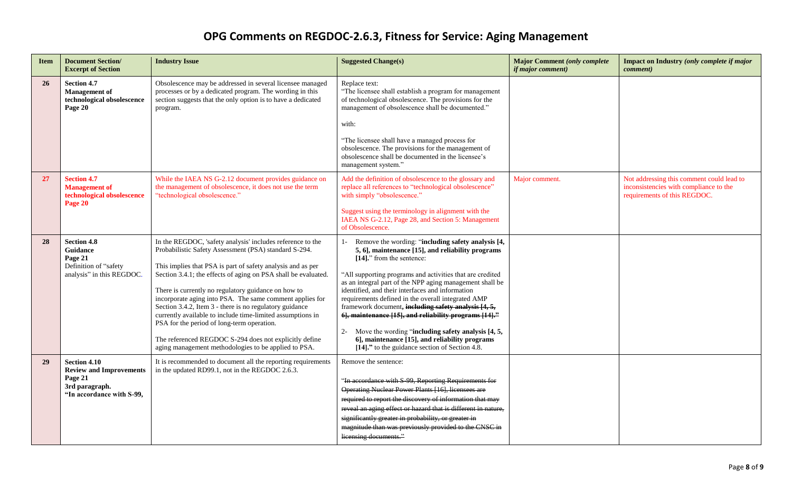| <b>Item</b> | <b>Document Section/</b><br><b>Excerpt of Section</b>                                                    | <b>Industry Issue</b>                                                                                                                                                                                                                                                                                                                                                                                                                                                                                                                                                                                                                                            | <b>Suggested Change(s)</b>                                                                                                                                                                                                                                                                                                                                                                                                                                                                                                                                                                                                                            | <b>Major Comment (only complete</b><br><i>if major comment)</i> | Impact on Industry (only complete if major<br><i>comment</i> )                                                      |
|-------------|----------------------------------------------------------------------------------------------------------|------------------------------------------------------------------------------------------------------------------------------------------------------------------------------------------------------------------------------------------------------------------------------------------------------------------------------------------------------------------------------------------------------------------------------------------------------------------------------------------------------------------------------------------------------------------------------------------------------------------------------------------------------------------|-------------------------------------------------------------------------------------------------------------------------------------------------------------------------------------------------------------------------------------------------------------------------------------------------------------------------------------------------------------------------------------------------------------------------------------------------------------------------------------------------------------------------------------------------------------------------------------------------------------------------------------------------------|-----------------------------------------------------------------|---------------------------------------------------------------------------------------------------------------------|
| 26          | <b>Section 4.7</b><br><b>Management</b> of<br>technological obsolescence<br>Page 20                      | Obsolescence may be addressed in several licensee managed<br>processes or by a dedicated program. The wording in this<br>section suggests that the only option is to have a dedicated<br>program.                                                                                                                                                                                                                                                                                                                                                                                                                                                                | Replace text:<br>"The licensee shall establish a program for management<br>of technological obsolescence. The provisions for the<br>management of obsolescence shall be documented."<br>with:<br>"The licensee shall have a managed process for<br>obsolescence. The provisions for the management of<br>obsolescence shall be documented in the licensee's<br>management system."                                                                                                                                                                                                                                                                    |                                                                 |                                                                                                                     |
| 27          | <b>Section 4.7</b><br><b>Management</b> of<br>technological obsolescence<br>Page 20                      | While the IAEA NS G-2.12 document provides guidance on<br>the management of obsolescence, it does not use the term<br>"technological obsolescence."                                                                                                                                                                                                                                                                                                                                                                                                                                                                                                              | Add the definition of obsolescence to the glossary and<br>replace all references to "technological obsolescence"<br>with simply "obsolescence."<br>Suggest using the terminology in alignment with the<br>IAEA NS G-2.12, Page 28, and Section 5: Management<br>of Obsolescence.                                                                                                                                                                                                                                                                                                                                                                      | Major comment.                                                  | Not addressing this comment could lead to<br>inconsistencies with compliance to the<br>requirements of this REGDOC. |
| 28          | <b>Section 4.8</b><br>Guidance<br>Page 21<br>Definition of "safety<br>analysis" in this REGDOC.          | In the REGDOC, 'safety analysis' includes reference to the<br>Probabilistic Safety Assessment (PSA) standard S-294.<br>This implies that PSA is part of safety analysis and as per<br>Section 3.4.1; the effects of aging on PSA shall be evaluated.<br>There is currently no regulatory guidance on how to<br>incorporate aging into PSA. The same comment applies for<br>Section 3.4.2, Item 3 - there is no regulatory guidance<br>currently available to include time-limited assumptions in<br>PSA for the period of long-term operation.<br>The referenced REGDOC S-294 does not explicitly define<br>aging management methodologies to be applied to PSA. | Remove the wording: "including safety analysis [4,<br>5, 6], maintenance [15], and reliability programs<br>[14]." from the sentence:<br>"All supporting programs and activities that are credited<br>as an integral part of the NPP aging management shall be<br>identified, and their interfaces and information<br>requirements defined in the overall integrated AMP<br>framework document, including safety analysis [4, 5,<br>6], maintenance [15], and reliability programs [14]."<br>2- Move the wording "including safety analysis [4, 5,<br>6], maintenance [15], and reliability programs<br>[14]." to the guidance section of Section 4.8. |                                                                 |                                                                                                                     |
| 29          | Section 4.10<br><b>Review and Improvements</b><br>Page 21<br>3rd paragraph.<br>"In accordance with S-99, | It is recommended to document all the reporting requirements<br>in the updated RD99.1, not in the REGDOC 2.6.3.                                                                                                                                                                                                                                                                                                                                                                                                                                                                                                                                                  | Remove the sentence:<br>"In accordance with S-99, Reporting Requirements for<br>Operating Nuclear Power Plants [16], licensees are<br>required to report the discovery of information that may<br>reveal an aging effect or hazard that is different in nature,<br>significantly greater in probability, or greater in<br>magnitude than was previously provided to the CNSC in<br>licensing documents."                                                                                                                                                                                                                                              |                                                                 |                                                                                                                     |